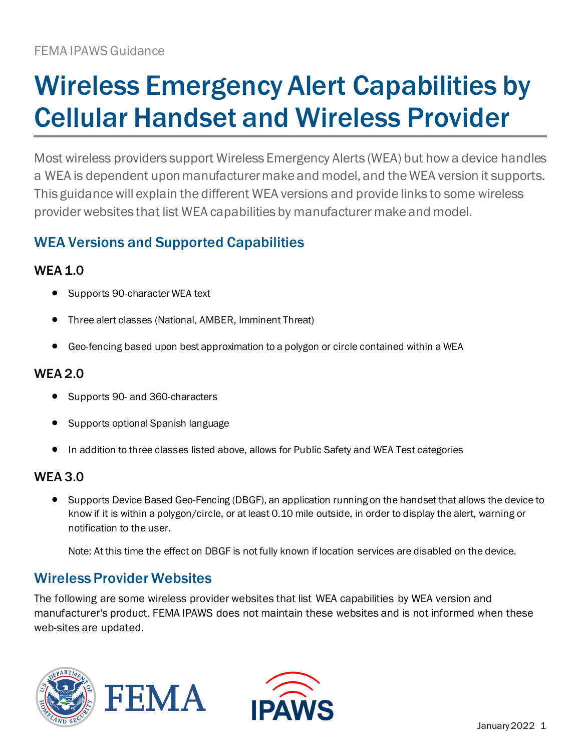# Wireless Emergency Alert Capabilities by Cellular Handset and Wireless Provider

Most wireless providers support Wireless Emergency Alerts (WEA) but how a device handles a WEA is dependent upon manufacturer make and model, and the WEA version it supports. This guidance will explain the different WEA versions and provide links to some wireless provider websites that list WEA capabilities by manufacturer make and model.

# WEA Versions and Supported Capabilities

## WEA 1.0

- Supports 90-character WEA text
- Three alert classes (National, AMBER, Imminent Threat)
- Geo-fencing based upon best approximation to a polygon or circle contained within a WEA

## WEA 2.0

- Supports 90- and 360-characters
- Supports optional Spanish language
- In addition to three classes listed above, allows for Public Safety and WEA Test categories

### WEA 3.0

• Supports Device Based Geo-Fencing (DBGF), an application running on the handset that allows the device to know if it is within a polygon/circle, or at least 0.10 mile outside, in order to display the alert, warning or notification to the user.

Note: At this time the effect on DBGF is not fully known if location services are disabled on the device.

## Wireless Provider Websites

The following are some wireless provider websites that list WEA capabilities by WEA version and manufacturer's product. FEMA IPAWS does not maintain these websites and is not informed when these web-sites are updated.



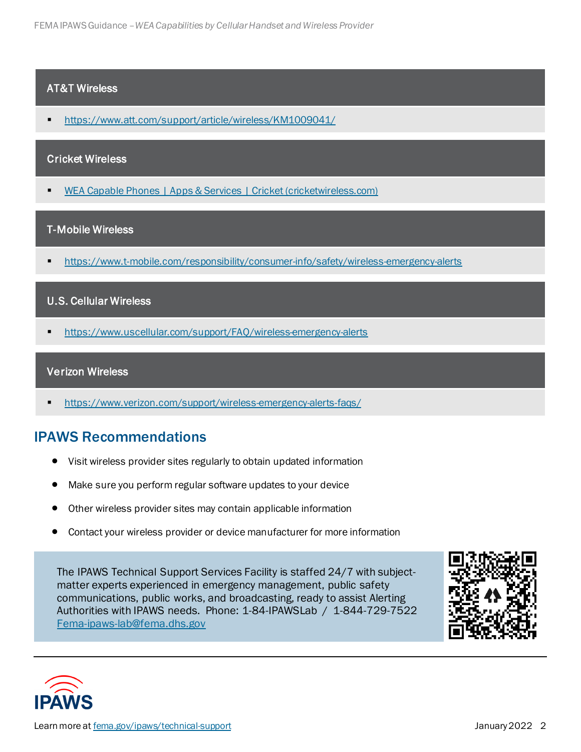#### AT&T Wireless

<https://www.att.com/support/article/wireless/KM1009041/>

#### Cricket Wireless

[WEA Capable Phones | Apps & Services | Cricket \(cricketwireless.com\)](https://www.cricketwireless.com/support/apps-and-services/wea-capable-phones)

#### T-Mobile Wireless

<https://www.t-mobile.com/responsibility/consumer-info/safety/wireless-emergency-alerts>

#### U.S. Cellular Wireless

■ <https://www.uscellular.com/support/FAQ/wireless-emergency-alerts>

#### Verizon Wireless

<https://www.verizon.com/support/wireless-emergency-alerts-faqs/>

## IPAWS Recommendations

- Visit wireless provider sites regularly to obtain updated information
- Make sure you perform regular software updates to your device
- Other wireless provider sites may contain applicable information
- Contact your wireless provider or device manufacturer for more information

The IPAWS Technical Support Services Facility is staffed 24/7 with subjectmatter experts experienced in emergency management, public safety communications, public works, and broadcasting, ready to assist Alerting Authorities with IPAWS needs. Phone: 1-84-IPAWSLab / 1-844-729-7522 [Fema-ipaws-lab@fema.dhs.gov](mailto:Fema-ipaws-lab@fema.dhs.gov)